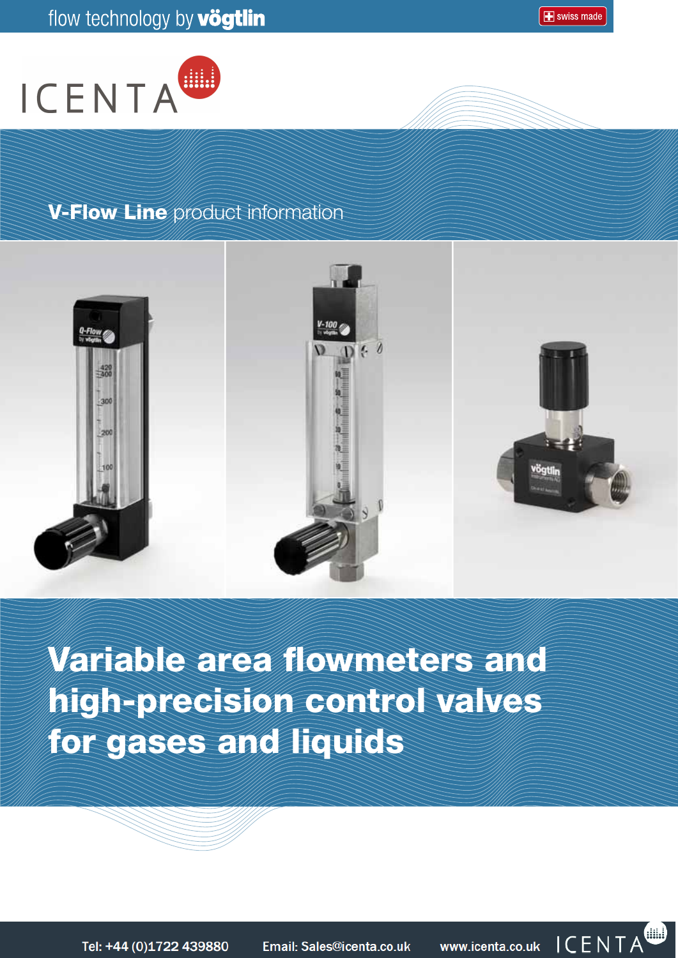



# V-Flow Line product information



Variable area flowmeters and high-precision control valves for gases and liquids



Tel: +44 (0)1722 439880

Email: Sales@icenta.co.uk

In Partnership with

www.icenta.co.uk

vögt

instruments

ICENTA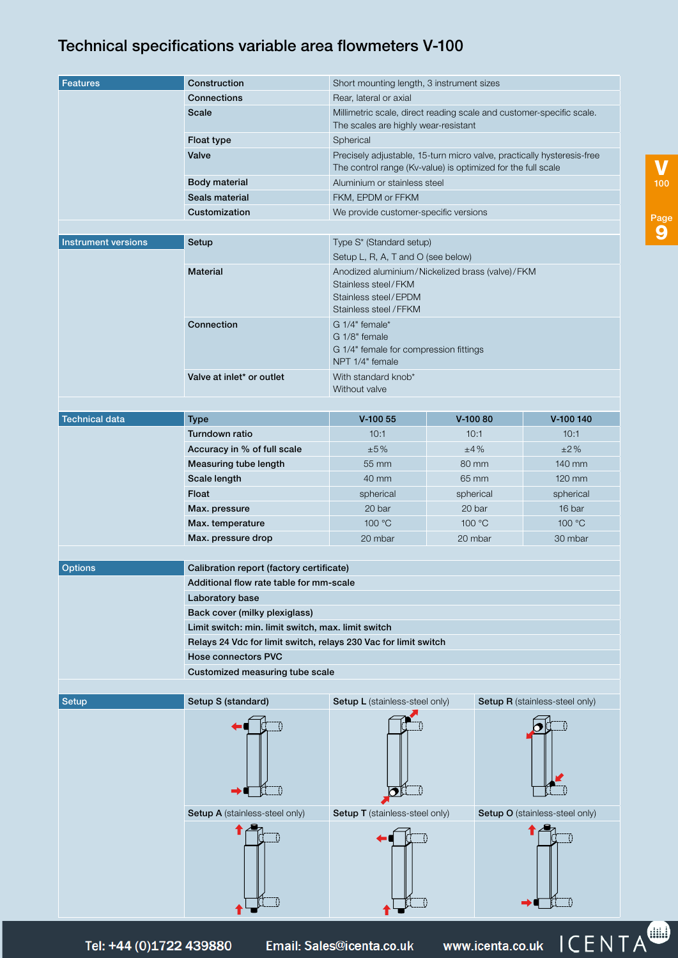# Technical specifications variable area flowmeters V-100

| <b>Features</b>            | Construction                                                                        | Short mounting length, 3 instrument sizes                                                                                |                                                                                                                                        |                                       |  |  |  |
|----------------------------|-------------------------------------------------------------------------------------|--------------------------------------------------------------------------------------------------------------------------|----------------------------------------------------------------------------------------------------------------------------------------|---------------------------------------|--|--|--|
|                            | Connections                                                                         | Rear, lateral or axial                                                                                                   |                                                                                                                                        |                                       |  |  |  |
|                            | <b>Scale</b>                                                                        | Millimetric scale, direct reading scale and customer-specific scale.<br>The scales are highly wear-resistant             |                                                                                                                                        |                                       |  |  |  |
|                            | Float type                                                                          | Spherical                                                                                                                |                                                                                                                                        |                                       |  |  |  |
|                            | Valve                                                                               |                                                                                                                          | Precisely adjustable, 15-turn micro valve, practically hysteresis-free<br>The control range (Kv-value) is optimized for the full scale |                                       |  |  |  |
|                            | <b>Body material</b>                                                                | Aluminium or stainless steel                                                                                             |                                                                                                                                        |                                       |  |  |  |
|                            | Seals material                                                                      | FKM, EPDM or FFKM                                                                                                        |                                                                                                                                        |                                       |  |  |  |
|                            | Customization                                                                       |                                                                                                                          | We provide customer-specific versions                                                                                                  |                                       |  |  |  |
|                            |                                                                                     |                                                                                                                          |                                                                                                                                        |                                       |  |  |  |
| <b>Instrument versions</b> | Setup                                                                               | Type S* (Standard setup)<br>Setup L, R, A, T and O (see below)                                                           |                                                                                                                                        |                                       |  |  |  |
|                            | <b>Material</b>                                                                     | Anodized aluminium/Nickelized brass (valve)/FKM<br>Stainless steel/FKM<br>Stainless steel/EPDM<br>Stainless steel / FFKM |                                                                                                                                        |                                       |  |  |  |
|                            | Connection                                                                          | G 1/4" female*<br>G 1/8" female<br>G 1/4" female for compression fittings<br>NPT 1/4" female                             |                                                                                                                                        |                                       |  |  |  |
|                            | Valve at inlet* or outlet                                                           | With standard knob*<br>Without valve                                                                                     |                                                                                                                                        |                                       |  |  |  |
| <b>Technical data</b>      | <b>Type</b>                                                                         | $V-10055$                                                                                                                | $V-10080$                                                                                                                              | V-100 140                             |  |  |  |
|                            | Turndown ratio                                                                      | 10:1                                                                                                                     | 10:1                                                                                                                                   | 10:1                                  |  |  |  |
|                            | Accuracy in % of full scale                                                         | ±5%                                                                                                                      | ±4%                                                                                                                                    | ±2%                                   |  |  |  |
|                            | Measuring tube length                                                               | 55 mm                                                                                                                    | 80 mm                                                                                                                                  | 140 mm                                |  |  |  |
|                            | Scale length                                                                        | 40 mm                                                                                                                    | 65 mm                                                                                                                                  | 120 mm                                |  |  |  |
|                            | Float                                                                               | spherical                                                                                                                | spherical                                                                                                                              | spherical                             |  |  |  |
|                            |                                                                                     | 20 bar                                                                                                                   | 20 bar                                                                                                                                 | 16 bar                                |  |  |  |
|                            | Max. pressure                                                                       |                                                                                                                          | 100 °C                                                                                                                                 |                                       |  |  |  |
|                            | Max. temperature                                                                    | 100 °C                                                                                                                   |                                                                                                                                        | 100 °C                                |  |  |  |
|                            | Max. pressure drop                                                                  | 20 mbar                                                                                                                  | 20 mbar                                                                                                                                | 30 mbar                               |  |  |  |
| <b>Options</b>             |                                                                                     |                                                                                                                          |                                                                                                                                        |                                       |  |  |  |
|                            |                                                                                     | Calibration report (factory certificate)                                                                                 |                                                                                                                                        |                                       |  |  |  |
|                            | Additional flow rate table for mm-scale                                             |                                                                                                                          |                                                                                                                                        |                                       |  |  |  |
|                            | Laboratory base                                                                     |                                                                                                                          |                                                                                                                                        |                                       |  |  |  |
|                            | Back cover (milky plexiglass)<br>Limit switch: min. limit switch, max. limit switch |                                                                                                                          |                                                                                                                                        |                                       |  |  |  |
|                            |                                                                                     | Relays 24 Vdc for limit switch, relays 230 Vac for limit switch                                                          |                                                                                                                                        |                                       |  |  |  |
|                            | <b>Hose connectors PVC</b>                                                          |                                                                                                                          |                                                                                                                                        |                                       |  |  |  |
|                            | Customized measuring tube scale                                                     |                                                                                                                          |                                                                                                                                        |                                       |  |  |  |
|                            |                                                                                     |                                                                                                                          |                                                                                                                                        |                                       |  |  |  |
| <b>Setup</b>               | Setup S (standard)                                                                  | Setup L (stainless-steel only)                                                                                           |                                                                                                                                        | <b>Setup R</b> (stainless-steel only) |  |  |  |
|                            |                                                                                     |                                                                                                                          |                                                                                                                                        |                                       |  |  |  |
|                            | Setup A (stainless-steel only)                                                      | Setup T (stainless-steel only)                                                                                           |                                                                                                                                        | Setup O (stainless-steel only)        |  |  |  |
|                            |                                                                                     |                                                                                                                          |                                                                                                                                        |                                       |  |  |  |

Tel: +44 (0)1722 439880

 $\mathcal{S}(\mathcal{S})$  , subject to technical alterations of the technical alterations  $\mathcal{S}(\mathcal{S})$ 

Email: Sales@icenta.co.uk

www.icenta.co.uk ICENTA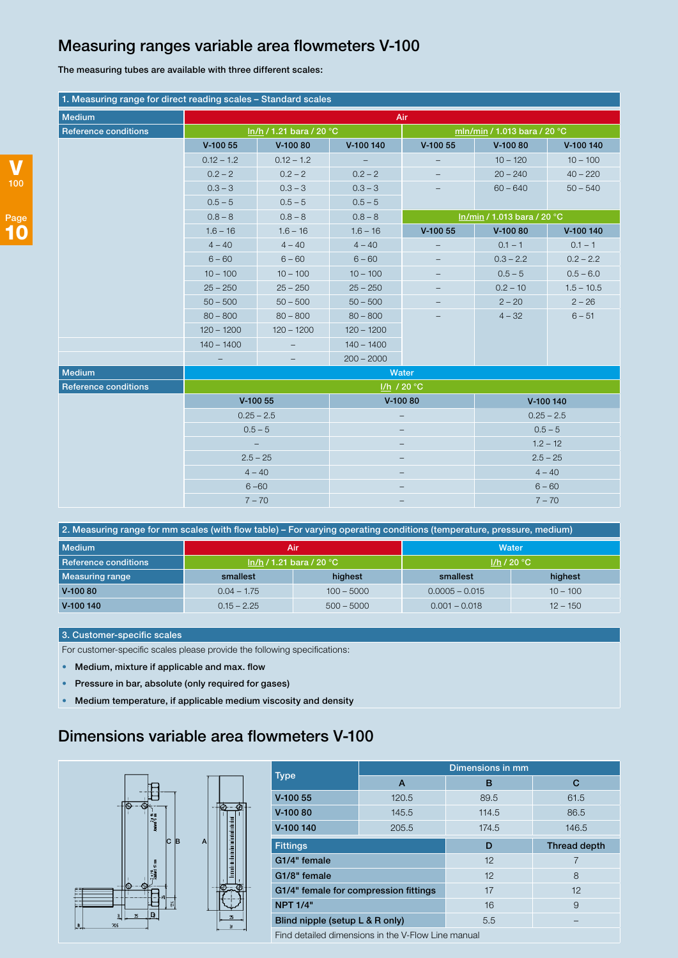### Measuring ranges variable area flowmeters V-100

The measuring tubes are available with three different scales:

| 1. Measuring range for direct reading scales - Standard scales |                                                                                          |                   |                          |                              |              |              |
|----------------------------------------------------------------|------------------------------------------------------------------------------------------|-------------------|--------------------------|------------------------------|--------------|--------------|
| <b>Medium</b>                                                  | Air                                                                                      |                   |                          |                              |              |              |
| <b>Reference conditions</b>                                    | In/h / 1.21 bara / 20 °C                                                                 |                   |                          | mln/min / 1.013 bara / 20 °C |              |              |
|                                                                | $V-10055$                                                                                | V-100 80          | V-100 140                | $V-10055$                    | V-100 80     | V-100 140    |
|                                                                | $0.12 - 1.2$                                                                             | $0.12 - 1.2$      | $\overline{\phantom{a}}$ |                              | $10 - 120$   | $10 - 100$   |
|                                                                | $0.2 - 2$                                                                                | $0.2 - 2$         | $0.2 - 2$                |                              | $20 - 240$   | $40 - 220$   |
|                                                                | $0.3 - 3$                                                                                | $0.3 - 3$         | $0.3 - 3$                |                              | $60 - 640$   | $50 - 540$   |
|                                                                | $0.5 - 5$                                                                                | $0.5 - 5$         | $0.5 - 5$                |                              |              |              |
|                                                                | $0.8 - 8$                                                                                | $0.8 - 8$         | $0.8 - 8$                | In/min / 1.013 bara / 20 °C  |              |              |
|                                                                | $1.6 - 16$                                                                               | $1.6 - 16$        | $1.6 - 16$               | $V-10055$                    | $V-10080$    | V-100 140    |
|                                                                | $4 - 40$                                                                                 | $4 - 40$          | $4 - 40$                 | $\overline{\phantom{a}}$     | $0.1 - 1$    | $0.1 - 1$    |
|                                                                | $6 - 60$                                                                                 | $6 - 60$          | $6 - 60$                 | $\overline{\phantom{0}}$     | $0.3 - 2.2$  | $0.2 - 2.2$  |
|                                                                | $10 - 100$                                                                               | $10 - 100$        | $10 - 100$               |                              | $0.5 - 5$    | $0.5 - 6.0$  |
|                                                                | $25 - 250$                                                                               | $25 - 250$        | $25 - 250$               |                              | $0.2 - 10$   | $1.5 - 10.5$ |
|                                                                | $50 - 500$                                                                               | $50 - 500$        | $50 - 500$               |                              | $2 - 20$     | $2 - 26$     |
|                                                                | $80 - 800$                                                                               | $80 - 800$        | $80 - 800$               |                              | $4 - 32$     | $6 - 51$     |
|                                                                | $120 - 1200$                                                                             | $120 - 1200$      | $120 - 1200$             |                              |              |              |
|                                                                | $140 - 1400$                                                                             | $\qquad \qquad -$ | $140 - 1400$             |                              |              |              |
|                                                                |                                                                                          |                   | $200 - 2000$             |                              |              |              |
| <b>Medium</b>                                                  |                                                                                          |                   |                          | Water                        |              |              |
| <b>Reference conditions</b>                                    |                                                                                          |                   |                          | I/h / 20 °C                  |              |              |
|                                                                | $V-10055$<br>$0.25 - 2.5$<br>$0.5 - 5$<br>$2.5 - 25$<br>$4 - 40$<br>$6 - 60$<br>$7 - 70$ |                   | V-100 80                 |                              | V-100 140    |              |
|                                                                |                                                                                          |                   |                          |                              | $0.25 - 2.5$ |              |
|                                                                |                                                                                          |                   |                          |                              | $0.5 - 5$    |              |
|                                                                |                                                                                          |                   |                          |                              | $1.2 - 12$   |              |
|                                                                |                                                                                          |                   |                          |                              | $2.5 - 25$   |              |
|                                                                |                                                                                          |                   |                          |                              | $4 - 40$     |              |
|                                                                |                                                                                          |                   |                          |                              | $6 - 60$     |              |
|                                                                |                                                                                          |                   |                          |                              | $7 - 70$     |              |

| 2. Measuring range for mm scales (with flow table) - For varying operating conditions (temperature, pressure, medium) |                            |              |                  |            |  |
|-----------------------------------------------------------------------------------------------------------------------|----------------------------|--------------|------------------|------------|--|
| l Medium                                                                                                              | Air                        |              | Water            |            |  |
| <b>Reference conditions</b>                                                                                           | $ln/h / 1.21$ bara / 20 °C |              | 1/h/20 °C        |            |  |
| Measuring range                                                                                                       | smallest                   | highest      | smallest         | highest    |  |
| $V-10080$                                                                                                             | $0.04 - 1.75$              | $100 - 5000$ | $0.0005 - 0.015$ | $10 - 100$ |  |
| V-100 140                                                                                                             | $0.15 - 2.25$              | $500 - 5000$ | $0.001 - 0.018$  | $12 - 150$ |  |

#### 3. Customer-specific scales

For customer-specific scales please provide the following specifications:

- Medium, mixture if applicable and max. flow
- Pressure in bar, absolute (only required for gases)
- Medium temperature, if applicable medium viscosity and density

## Dimensions variable area flowmeters V-100



|                                                    | Dimensions in mm |       |                     |  |  |
|----------------------------------------------------|------------------|-------|---------------------|--|--|
| <b>Type</b>                                        | A                | в     | С                   |  |  |
| $V-10055$                                          | 120.5            | 89.5  | 61.5                |  |  |
| $V-10080$                                          | 145.5            | 114.5 | 86.5                |  |  |
| V-100 140                                          | 205.5            | 174.5 | 146.5               |  |  |
| <b>Fittings</b>                                    |                  | D     | <b>Thread depth</b> |  |  |
| G1/4" female                                       |                  | 12    | 7                   |  |  |
| G1/8" female                                       |                  | 12    | 8                   |  |  |
| G1/4" female for compression fittings              |                  | 17    | 12                  |  |  |
| <b>NPT 1/4"</b>                                    |                  | 16    | 9                   |  |  |
| Blind nipple (setup L & R only)                    |                  | 5.5   |                     |  |  |
| Find detailed dimensions in the V-Flow Line manual |                  |       |                     |  |  |

Find detailed dimensions in the V-Flow Line manual